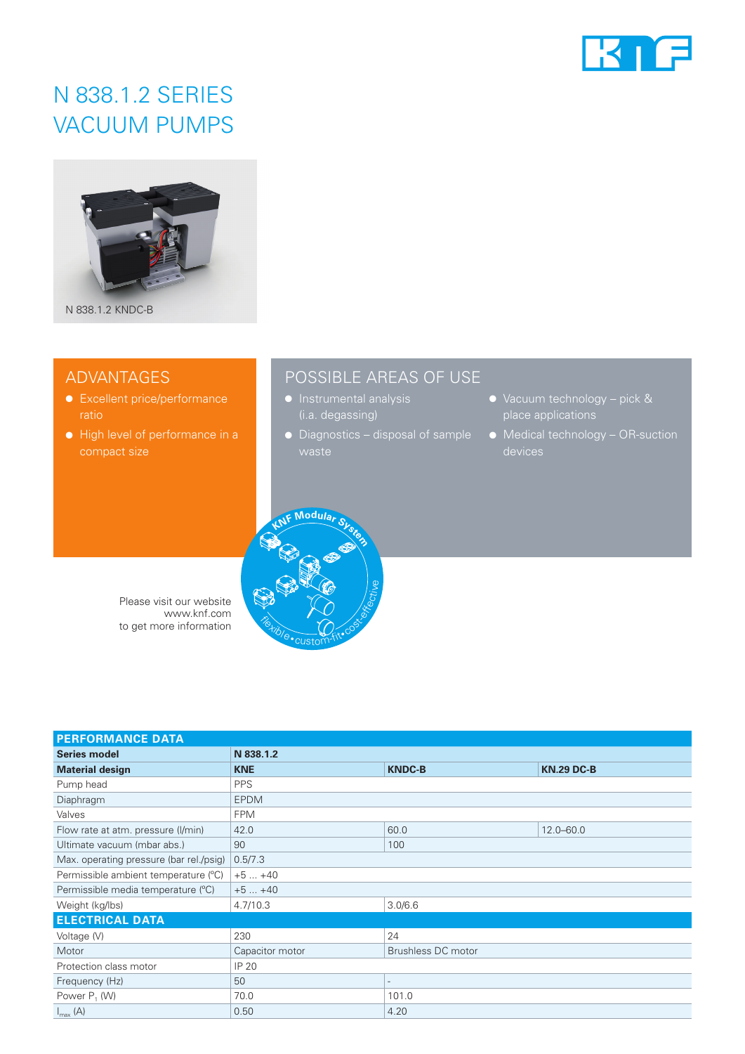

# N 838.1.2 SERIES VACUUM PUMPS



# ADVANTAGES

- Excellent price/performance
- High level of performance in a compact size

# POSSIBLE AREAS OF USE

- (i.a. degassing)
- Diagnostics disposal of sample
- Vacuum technology pick & place applications
- Medical technology OR-suction



| Please visit our website |
|--------------------------|
| www.knf.com              |
| to get more information  |

| <b>PERFORMANCE DATA</b>                 |                 |                           |                   |  |
|-----------------------------------------|-----------------|---------------------------|-------------------|--|
| <b>Series model</b>                     | N 838.1.2       |                           |                   |  |
| <b>Material design</b>                  | <b>KNE</b>      | <b>KNDC-B</b>             | <b>KN.29 DC-B</b> |  |
| Pump head                               | <b>PPS</b>      |                           |                   |  |
| Diaphragm                               | <b>EPDM</b>     |                           |                   |  |
| Valves                                  | <b>FPM</b>      |                           |                   |  |
| Flow rate at atm. pressure (I/min)      | 42.0            | 60.0                      | $12.0 - 60.0$     |  |
| Ultimate vacuum (mbar abs.)             | 90              | 100                       |                   |  |
| Max. operating pressure (bar rel./psig) | 0.5/7.3         |                           |                   |  |
| Permissible ambient temperature (°C)    | $+5+40$         |                           |                   |  |
| Permissible media temperature (°C)      | $+5+40$         |                           |                   |  |
| Weight (kg/lbs)                         | 4.7/10.3        | 3.0/6.6                   |                   |  |
| <b>ELECTRICAL DATA</b>                  |                 |                           |                   |  |
| Voltage (V)                             | 230             | 24                        |                   |  |
| Motor                                   | Capacitor motor | <b>Brushless DC motor</b> |                   |  |
| Protection class motor                  | IP 20           |                           |                   |  |
| Frequency (Hz)                          | 50              | $\overline{a}$            |                   |  |
| Power $P_1$ (W)                         | 70.0            | 101.0                     |                   |  |
| $I_{\text{max}}(A)$                     | 0.50            | 4.20                      |                   |  |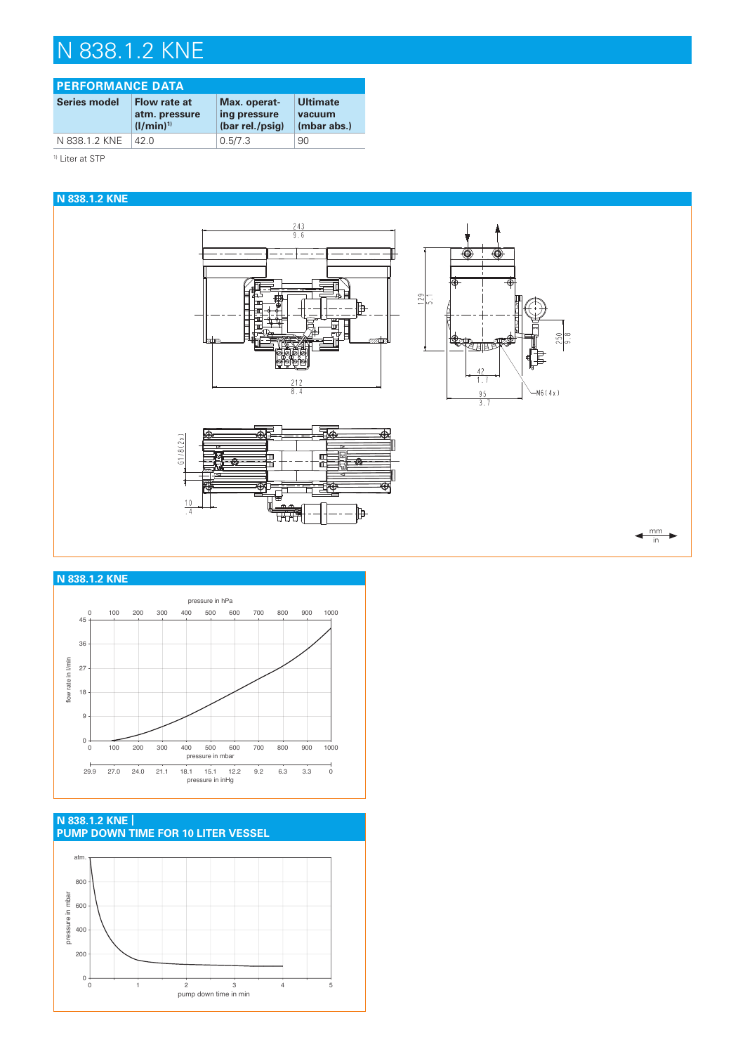# N 838.1.2 KNE

#### **PERFORMANCE DATA** Series model Flow rate at **atm. pressure**  $(l/min)^{1}$ **Max. operating pressure (bar rel./psig) Ultimate vacuum (mbar abs.)** N 838.1.2 KNE 42.0 0.5/7.3 90

<sup>1)</sup> Liter at STP



## **N 838.1.2 KNE**



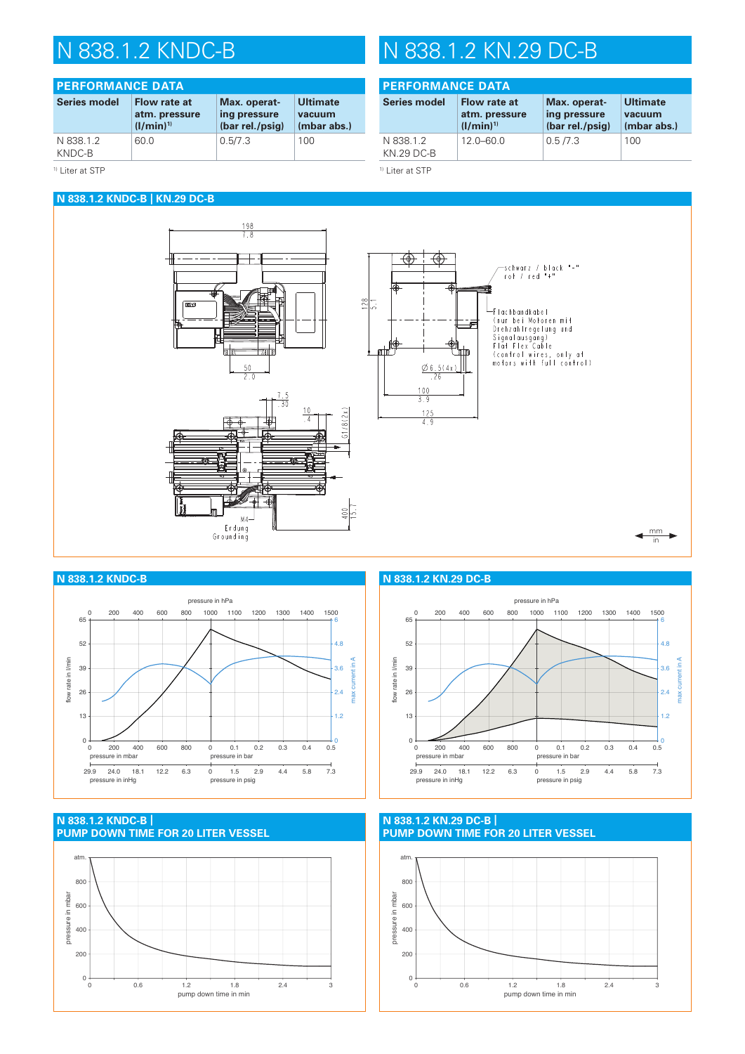#### **PERFORMANCE DATA Series model Flow rate at atm. pressure**   $(l/min)^{1}$ **Max. operating pressure (bar rel./psig) Ultimate vacuum (mbar abs.)** N 838.1.2 KNDC-B 60.0 0.5/7.3 100

### <sup>1)</sup> Liter at STP

## **N 838.1.2 KNDC-B | KN.29 DC-B**



## **PERFORMANCE DATA**

| <b>Series model</b>            | <b>Flow rate at</b> | Max. operat-    | <b>Ultimate</b> |
|--------------------------------|---------------------|-----------------|-----------------|
|                                | atm. pressure       | ing pressure    | vacuum          |
|                                | $(1/min)^{1}$       | (bar rel./psig) | (mbar abs.)     |
| N 838.1.2<br><b>KN.29 DC-B</b> | $12.0 - 60.0$       | 0.5/7.3         | 100             |

1) Liter at STP









**N 838.1.2 KNDC-B N 838.1.2 KN.29 DC-B**



### **N 838.1.2 KN.29 DC-B | PUMP DOWN TIME FOR 20 LITER VESSEL**